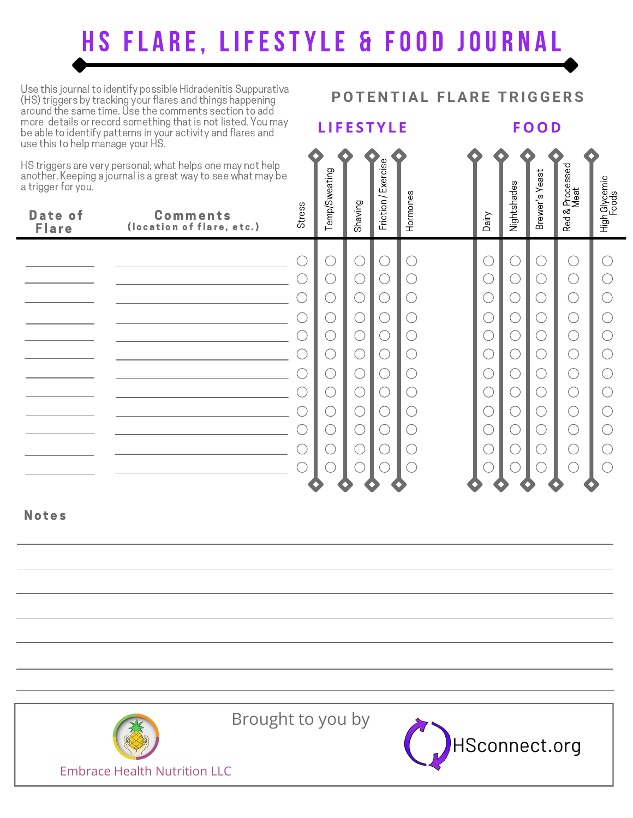## **HS FLARE, LIFESTYLE & FOOD JOURNAL**

**L I F E S T Y L E**

Use this journal to identify possible Hidradenitis Suppurativa (HS) triggers by tracking your flares and things happening around the same time. Use the comments section to add more details or record something that is not listed. You may be able to identify patterns in your activity and flares and use this to help manage your HS.

HS triggers are very personal; what helps one may not help another. Keeping a journal is a great way to see what may be a trigger for you.

## Friction / Exercise Red & Processed weating Brewer's Yeast High Glycemic Nightshades Meat Hormones Foods Shaving Stress Temp/S Date of **Comments** Dairy (location of flare, etc.) **Flare**  $\bigcirc$  $\bigcirc$  $\bigcirc$  $\bigcirc$  $\bigcirc$  $\bigcirc$  $\bigcap$  $\bigcirc$  $\bigcirc$  $\bigcirc$  $\bigcirc$  $\bigcirc$  $\bigcirc$  $\bigcirc$  $\bigcap$  $\bigcirc$  $\bigcirc$ ◯  $\bigcirc$  $\bigcirc$  $\bigcirc$  $\bigcirc$  $\bigcirc$  $\bigcirc$  $\bigcirc$  $\bigcirc$ O  $\bigcirc$  $\bigcirc$  $\bigcirc$  $\bigcirc$ ∩  $\bigcirc$  $\bigcirc$  $\bigcirc$  $(\ )$  $\bigcirc$  $\bigcirc$  $\bigcirc$  $\bigcirc$  $\bigcirc$  $\bigcirc$  $\bigcirc$  $\bigcirc$  $\bigcirc$  $\bigcirc$  $\bigcirc$  $\bigcirc$  $\bigcirc$  $\bigcirc$  $\bigcirc$  $\bigcirc$  $\bigcap$  $(\ )$  $\bigcirc$  $\bigcirc$  $\bigcirc$  $\bigcirc$  $\bigcirc$  $\bigcirc$  $\bigcirc$  $\left(\begin{array}{c} \end{array}\right)$ O  $\bigcirc$  $\bigcirc$  $\bigcirc$  $\bigcirc$  $\bigcirc$  $\bigcirc$  $\bigcirc$ ∩ C  $\bigcirc$  $\bigcirc$  $\bigcirc$  $\bigcirc$  $\bigcirc$  $\bigcirc$  $\bigcirc$  $\bigcirc$ ○  $\bigcirc$  $\bigcirc$  $\bigcirc$  $\bigcirc$  $\bigcirc$  $\bigcirc$  $\bigcirc$  $\bigcirc$  $\left(\begin{array}{c} \end{array}\right)$ ◯  $\bigcirc$  $\bigcirc$  $\bigcirc$  $(\ )$  $\bigcirc$  $\bigcirc$ ◯ ○  $\bigcirc$ C  $\bigcirc$ C

**Notes** 

Brought to you by



**F O O D**

**POT E N T IAL F LAR E T R IGGE R S**

Embrace Health Nutrition LLC